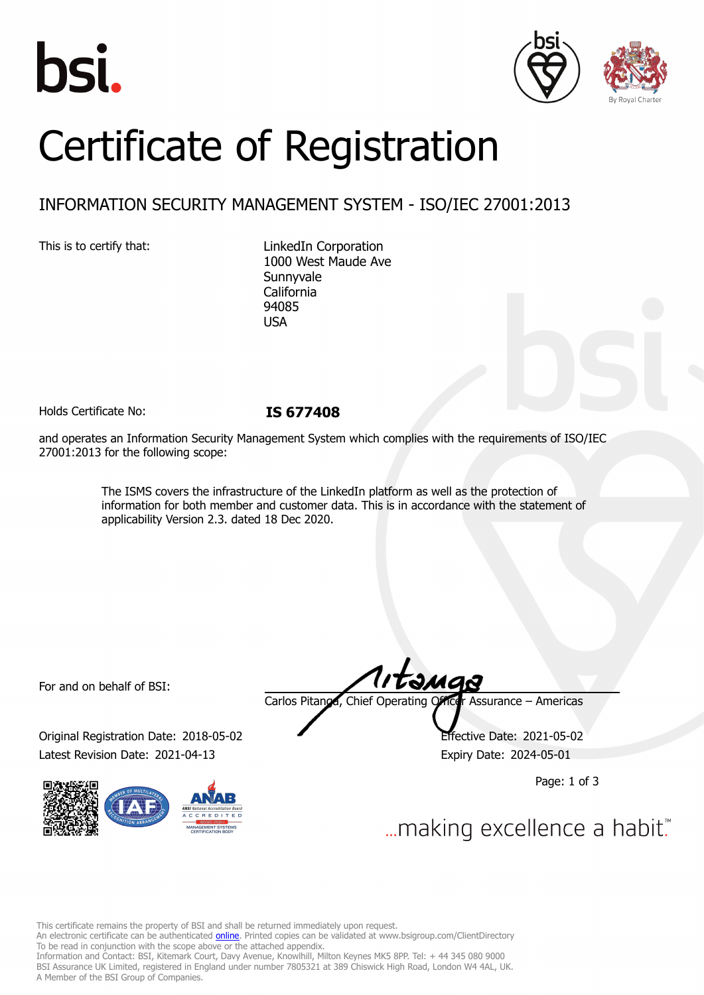





# Certificate of Registration

# INFORMATION SECURITY MANAGEMENT SYSTEM - ISO/IEC 27001:2013

This is to certify that: LinkedIn Corporation 1000 West Maude Ave Sunnyvale California 94085 USA

Holds Certificate No: **IS 677408**

and operates an Information Security Management System which complies with the requirements of ISO/IEC 27001:2013 for the following scope:

> The ISMS covers the infrastructure of the LinkedIn platform as well as the protection of information for both member and customer data. This is in accordance with the statement of applicability Version 2.3. dated 18 Dec 2020.

For and on behalf of BSI:

Original Registration Date: 2018-05-02 Effective Date: 2021-05-02 Latest Revision Date: 2021-04-13 Expiry Date: 2024-05-01



tamas Carlos Pitanga, Chief Operating Officer Assurance – Americas

Page: 1 of 3

... making excellence a habit."

This certificate remains the property of BSI and shall be returned immediately upon request.

An electronic certificate can be authenticated *[online](https://pgplus.bsigroup.com/CertificateValidation/CertificateValidator.aspx?CertificateNumber=IS+677408&ReIssueDate=13%2f04%2f2021&Template=inc)*. Printed copies can be validated at www.bsigroup.com/ClientDirectory To be read in conjunction with the scope above or the attached appendix.

Information and Contact: BSI, Kitemark Court, Davy Avenue, Knowlhill, Milton Keynes MK5 8PP. Tel: + 44 345 080 9000 BSI Assurance UK Limited, registered in England under number 7805321 at 389 Chiswick High Road, London W4 4AL, UK. A Member of the BSI Group of Companies.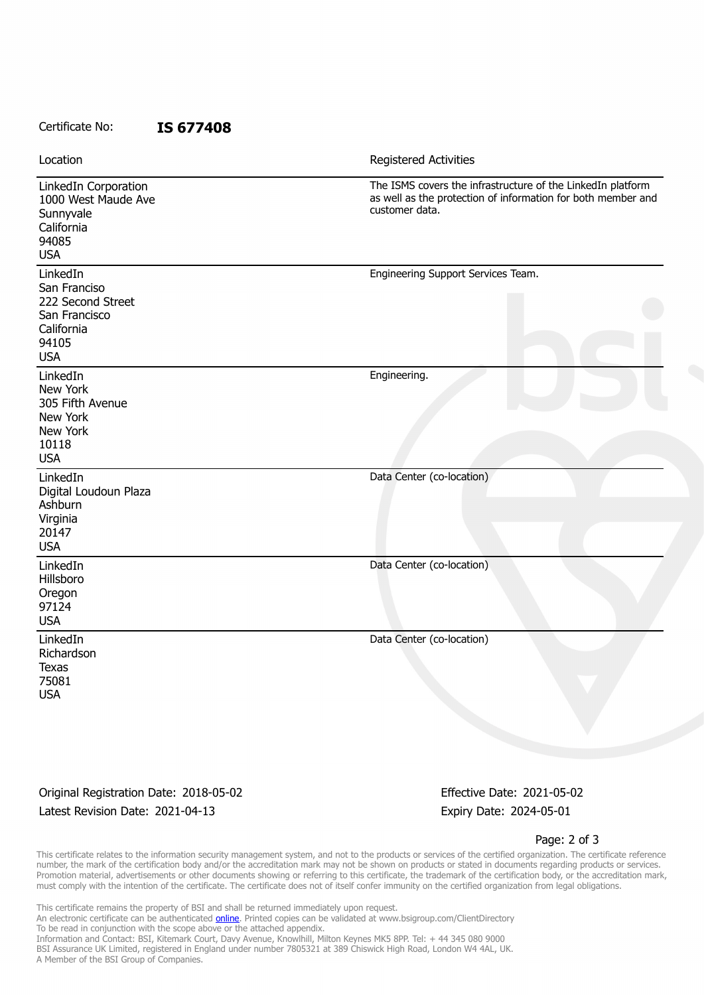#### Certificate No: **IS 677408**

| Location                                                                                            | Registered Activities                                                                                                                         |
|-----------------------------------------------------------------------------------------------------|-----------------------------------------------------------------------------------------------------------------------------------------------|
| LinkedIn Corporation<br>1000 West Maude Ave<br>Sunnyvale<br>California<br>94085<br><b>USA</b>       | The ISMS covers the infrastructure of the LinkedIn platform<br>as well as the protection of information for both member and<br>customer data. |
| LinkedIn<br>San Franciso<br>222 Second Street<br>San Francisco<br>California<br>94105<br><b>USA</b> | Engineering Support Services Team.                                                                                                            |
| LinkedIn<br>New York<br>305 Fifth Avenue<br>New York<br>New York<br>10118<br><b>USA</b>             | Engineering.                                                                                                                                  |
| LinkedIn<br>Digital Loudoun Plaza<br>Ashburn<br>Virginia<br>20147<br><b>USA</b>                     | Data Center (co-location)                                                                                                                     |
| LinkedIn<br>Hillsboro<br>Oregon<br>97124<br><b>USA</b>                                              | Data Center (co-location)                                                                                                                     |
| LinkedIn<br>Richardson<br><b>Texas</b><br>75081<br><b>USA</b>                                       | Data Center (co-location)                                                                                                                     |

### Original Registration Date: 2018-05-02 Effective Date: 2021-05-02 Latest Revision Date: 2021-04-13 Expiry Date: 2024-05-01

Page: 2 of 3

This certificate relates to the information security management system, and not to the products or services of the certified organization. The certificate reference number, the mark of the certification body and/or the accreditation mark may not be shown on products or stated in documents regarding products or services. Promotion material, advertisements or other documents showing or referring to this certificate, the trademark of the certification body, or the accreditation mark, must comply with the intention of the certificate. The certificate does not of itself confer immunity on the certified organization from legal obligations.

This certificate remains the property of BSI and shall be returned immediately upon request. An electronic certificate can be authenticated **[online](https://pgplus.bsigroup.com/CertificateValidation/CertificateValidator.aspx?CertificateNumber=IS+677408&ReIssueDate=13%2f04%2f2021&Template=inc)**. Printed copies can be validated at www.bsigroup.com/ClientDirectory To be read in conjunction with the scope above or the attached appendix. Information and Contact: BSI, Kitemark Court, Davy Avenue, Knowlhill, Milton Keynes MK5 8PP. Tel: + 44 345 080 9000 BSI Assurance UK Limited, registered in England under number 7805321 at 389 Chiswick High Road, London W4 4AL, UK. A Member of the BSI Group of Companies.